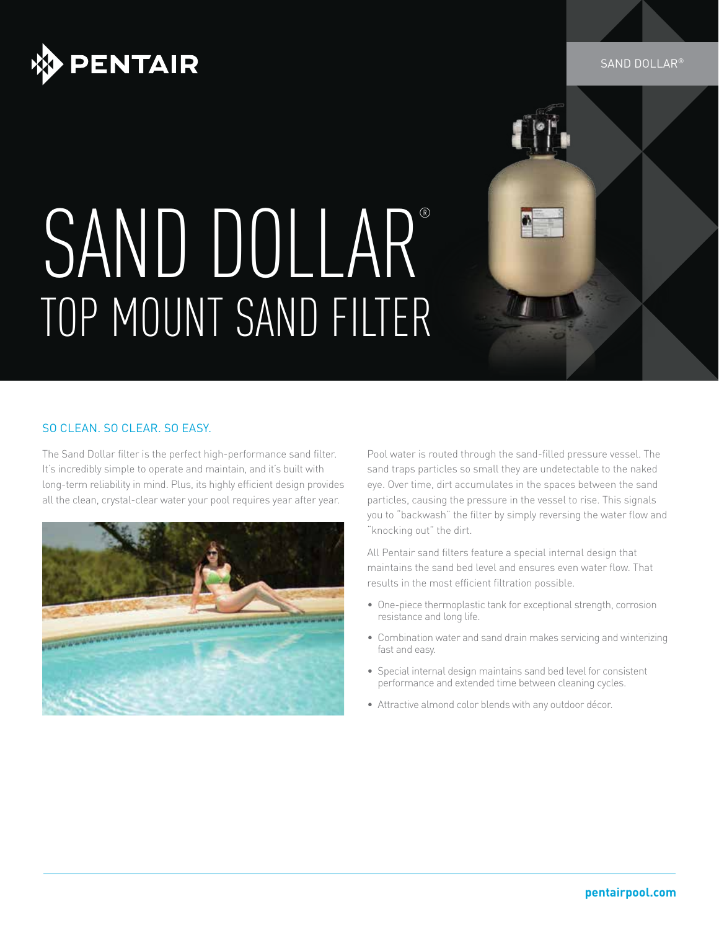

#### SAND DOLLAR®

# SAND DOLLAR® TOP MOUNT SAND FILTER

### SO CLEAN. SO CLEAR. SO EASY.

The Sand Dollar filter is the perfect high-performance sand filter. It's incredibly simple to operate and maintain, and it's built with long-term reliability in mind. Plus, its highly efficient design provides all the clean, crystal-clear water your pool requires year after year.



Pool water is routed through the sand-filled pressure vessel. The sand traps particles so small they are undetectable to the naked eye. Over time, dirt accumulates in the spaces between the sand particles, causing the pressure in the vessel to rise. This signals you to "backwash" the filter by simply reversing the water flow and "knocking out" the dirt.

All Pentair sand filters feature a special internal design that maintains the sand bed level and ensures even water flow. That results in the most efficient filtration possible.

- One-piece thermoplastic tank for exceptional strength, corrosion resistance and long life.
- Combination water and sand drain makes servicing and winterizing fast and easy.
- Special internal design maintains sand bed level for consistent performance and extended time between cleaning cycles.
- Attractive almond color blends with any outdoor décor.